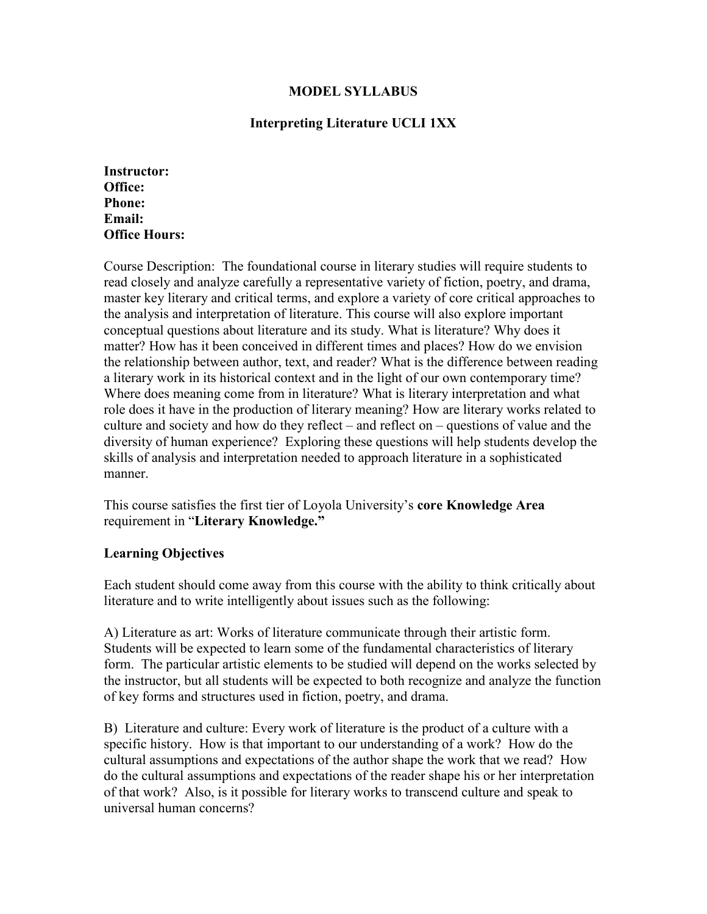# **MODEL SYLLABUS**

# **Interpreting Literature UCLI 1XX**

**Instructor: Office: Phone: Email: Office Hours:** 

Course Description: The foundational course in literary studies will require students to read closely and analyze carefully a representative variety of fiction, poetry, and drama, master key literary and critical terms, and explore a variety of core critical approaches to the analysis and interpretation of literature. This course will also explore important conceptual questions about literature and its study. What is literature? Why does it matter? How has it been conceived in different times and places? How do we envision the relationship between author, text, and reader? What is the difference between reading a literary work in its historical context and in the light of our own contemporary time? Where does meaning come from in literature? What is literary interpretation and what role does it have in the production of literary meaning? How are literary works related to culture and society and how do they reflect – and reflect on – questions of value and the diversity of human experience? Exploring these questions will help students develop the skills of analysis and interpretation needed to approach literature in a sophisticated manner.

This course satisfies the first tier of Loyola University's **core Knowledge Area** requirement in "**Literary Knowledge."**

#### **Learning Objectives**

Each student should come away from this course with the ability to think critically about literature and to write intelligently about issues such as the following:

A) Literature as art: Works of literature communicate through their artistic form. Students will be expected to learn some of the fundamental characteristics of literary form. The particular artistic elements to be studied will depend on the works selected by the instructor, but all students will be expected to both recognize and analyze the function of key forms and structures used in fiction, poetry, and drama.

B) Literature and culture: Every work of literature is the product of a culture with a specific history. How is that important to our understanding of a work? How do the cultural assumptions and expectations of the author shape the work that we read? How do the cultural assumptions and expectations of the reader shape his or her interpretation of that work? Also, is it possible for literary works to transcend culture and speak to universal human concerns?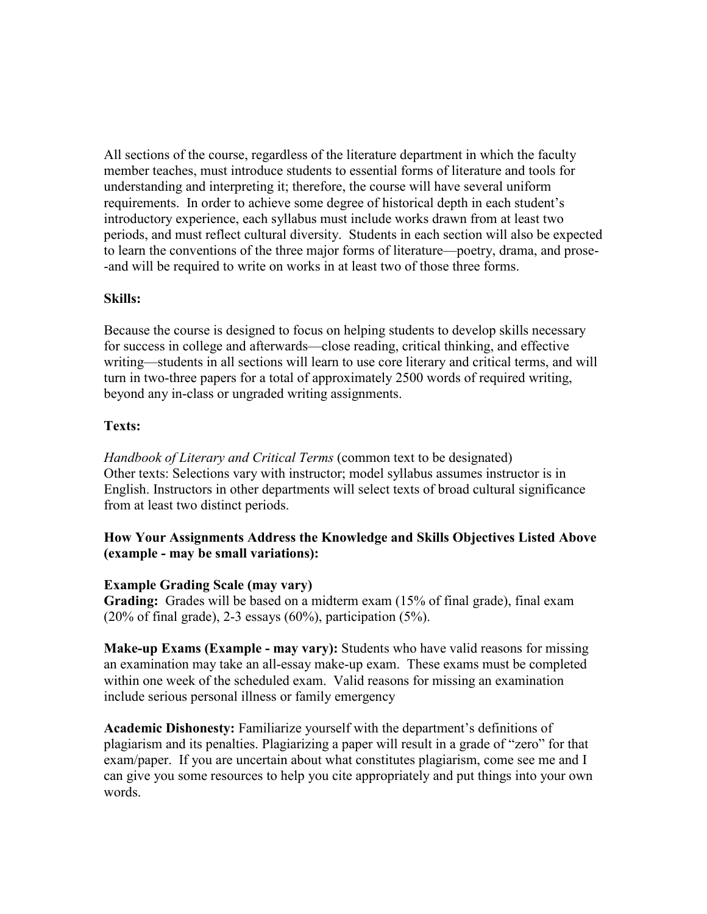All sections of the course, regardless of the literature department in which the faculty member teaches, must introduce students to essential forms of literature and tools for understanding and interpreting it; therefore, the course will have several uniform requirements. In order to achieve some degree of historical depth in each student's introductory experience, each syllabus must include works drawn from at least two periods, and must reflect cultural diversity. Students in each section will also be expected to learn the conventions of the three major forms of literature—poetry, drama, and prose- -and will be required to write on works in at least two of those three forms.

#### **Skills:**

Because the course is designed to focus on helping students to develop skills necessary for success in college and afterwards—close reading, critical thinking, and effective writing—students in all sections will learn to use core literary and critical terms, and will turn in two-three papers for a total of approximately 2500 words of required writing, beyond any in-class or ungraded writing assignments.

## **Texts:**

*Handbook of Literary and Critical Terms* (common text to be designated) Other texts: Selections vary with instructor; model syllabus assumes instructor is in English. Instructors in other departments will select texts of broad cultural significance from at least two distinct periods.

# **How Your Assignments Address the Knowledge and Skills Objectives Listed Above (example - may be small variations):**

#### **Example Grading Scale (may vary)**

**Grading:** Grades will be based on a midterm exam (15% of final grade), final exam  $(20\% \text{ of final grade})$ , 2-3 essays  $(60\%)$ , participation  $(5\%)$ .

**Make-up Exams (Example - may vary):** Students who have valid reasons for missing an examination may take an all-essay make-up exam. These exams must be completed within one week of the scheduled exam. Valid reasons for missing an examination include serious personal illness or family emergency

**Academic Dishonesty:** Familiarize yourself with the department's definitions of plagiarism and its penalties. Plagiarizing a paper will result in a grade of "zero" for that exam/paper. If you are uncertain about what constitutes plagiarism, come see me and I can give you some resources to help you cite appropriately and put things into your own words.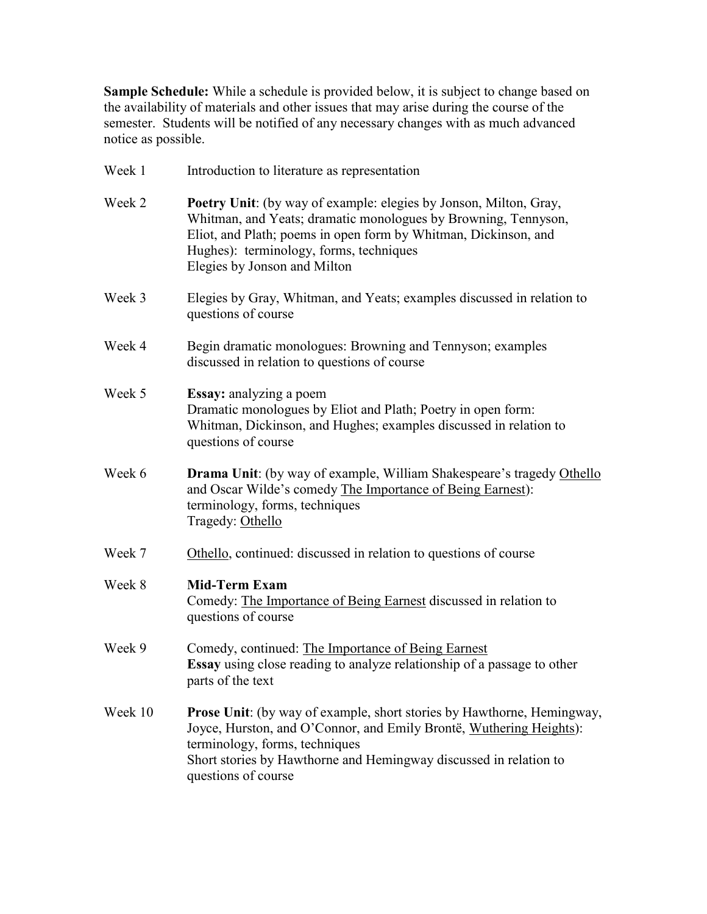**Sample Schedule:** While a schedule is provided below, it is subject to change based on the availability of materials and other issues that may arise during the course of the semester. Students will be notified of any necessary changes with as much advanced notice as possible.

| Week 1  | Introduction to literature as representation                                                                                                                                                                                                                                       |
|---------|------------------------------------------------------------------------------------------------------------------------------------------------------------------------------------------------------------------------------------------------------------------------------------|
| Week 2  | Poetry Unit: (by way of example: elegies by Jonson, Milton, Gray,<br>Whitman, and Yeats; dramatic monologues by Browning, Tennyson,<br>Eliot, and Plath; poems in open form by Whitman, Dickinson, and<br>Hughes): terminology, forms, techniques<br>Elegies by Jonson and Milton  |
| Week 3  | Elegies by Gray, Whitman, and Yeats; examples discussed in relation to<br>questions of course                                                                                                                                                                                      |
| Week 4  | Begin dramatic monologues: Browning and Tennyson; examples<br>discussed in relation to questions of course                                                                                                                                                                         |
| Week 5  | Essay: analyzing a poem<br>Dramatic monologues by Eliot and Plath; Poetry in open form:<br>Whitman, Dickinson, and Hughes; examples discussed in relation to<br>questions of course                                                                                                |
| Week 6  | <b>Drama Unit:</b> (by way of example, William Shakespeare's tragedy Othello<br>and Oscar Wilde's comedy The Importance of Being Earnest):<br>terminology, forms, techniques<br>Tragedy: Othello                                                                                   |
| Week 7  | Othello, continued: discussed in relation to questions of course                                                                                                                                                                                                                   |
| Week 8  | <b>Mid-Term Exam</b><br>Comedy: The Importance of Being Earnest discussed in relation to<br>questions of course                                                                                                                                                                    |
| Week 9  | Comedy, continued: The Importance of Being Earnest<br><b>Essay</b> using close reading to analyze relationship of a passage to other<br>parts of the text                                                                                                                          |
| Week 10 | <b>Prose Unit:</b> (by way of example, short stories by Hawthorne, Hemingway,<br>Joyce, Hurston, and O'Connor, and Emily Brontë, Wuthering Heights):<br>terminology, forms, techniques<br>Short stories by Hawthorne and Hemingway discussed in relation to<br>questions of course |